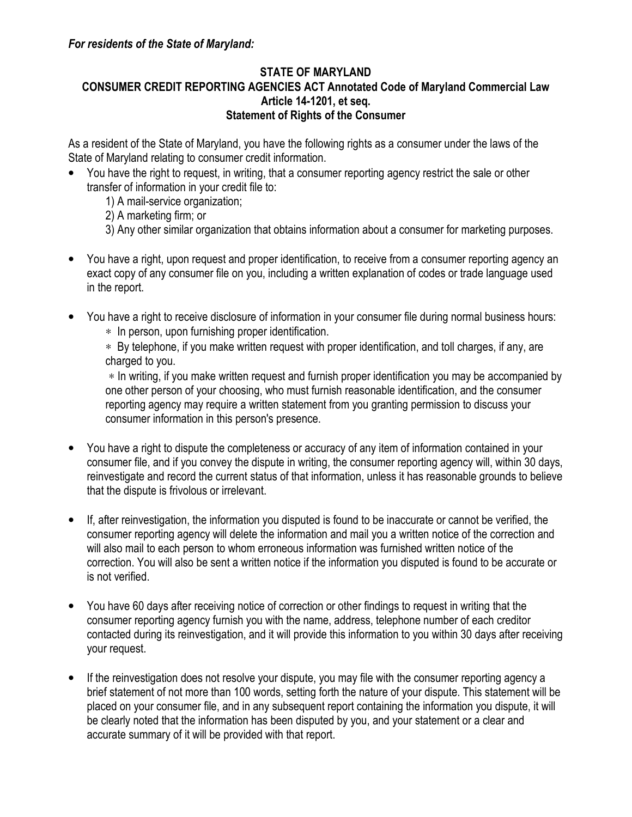## STATE OF MARYLAND CONSUMER CREDIT REPORTING AGENCIES ACT Annotated Code of Maryland Commercial Law Article 14-1201, et seq. Statement of Rights of the Consumer

As a resident of the State of Maryland, you have the following rights as a consumer under the laws of the State of Maryland relating to consumer credit information.

- You have the right to request, in writing, that a consumer reporting agency restrict the sale or other transfer of information in your credit file to:
	- 1) A mail-service organization;
	- 2) A marketing firm; or
	- 3) Any other similar organization that obtains information about a consumer for marketing purposes.
- You have a right, upon request and proper identification, to receive from a consumer reporting agency an exact copy of any consumer file on you, including a written explanation of codes or trade language used in the report.
- You have a right to receive disclosure of information in your consumer file during normal business hours:
	- ∗ In person, upon furnishing proper identification.

∗ By telephone, if you make written request with proper identification, and toll charges, if any, are charged to you.

∗ In writing, if you make written request and furnish proper identification you may be accompanied by one other person of your choosing, who must furnish reasonable identification, and the consumer reporting agency may require a written statement from you granting permission to discuss your consumer information in this person's presence.

- You have a right to dispute the completeness or accuracy of any item of information contained in your consumer file, and if you convey the dispute in writing, the consumer reporting agency will, within 30 days, reinvestigate and record the current status of that information, unless it has reasonable grounds to believe that the dispute is frivolous or irrelevant.
- If, after reinvestigation, the information you disputed is found to be inaccurate or cannot be verified, the consumer reporting agency will delete the information and mail you a written notice of the correction and will also mail to each person to whom erroneous information was furnished written notice of the correction. You will also be sent a written notice if the information you disputed is found to be accurate or is not verified.
- You have 60 days after receiving notice of correction or other findings to request in writing that the consumer reporting agency furnish you with the name, address, telephone number of each creditor contacted during its reinvestigation, and it will provide this information to you within 30 days after receiving your request.
- If the reinvestigation does not resolve your dispute, you may file with the consumer reporting agency a brief statement of not more than 100 words, setting forth the nature of your dispute. This statement will be placed on your consumer file, and in any subsequent report containing the information you dispute, it will be clearly noted that the information has been disputed by you, and your statement or a clear and accurate summary of it will be provided with that report.